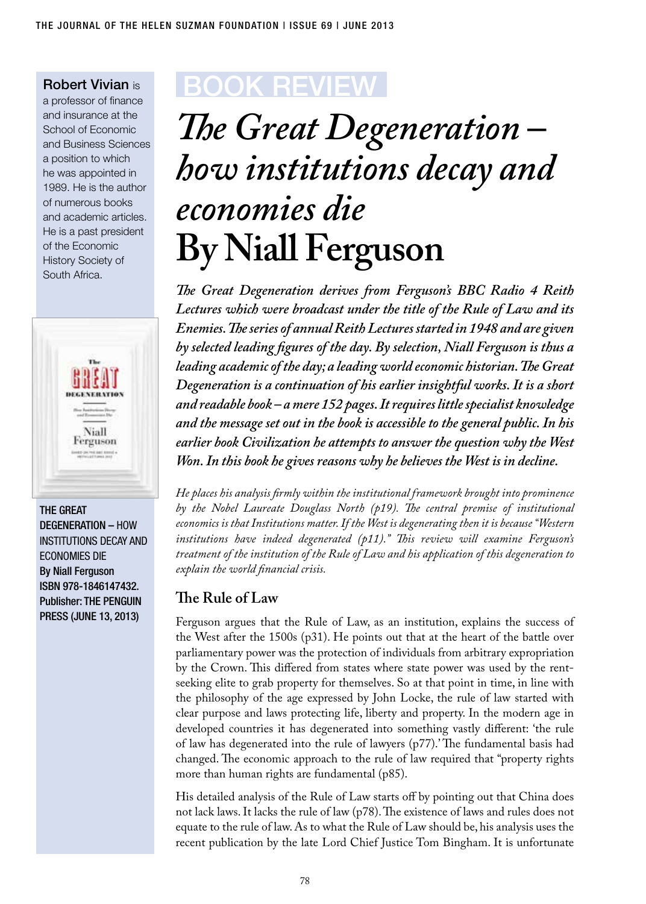Robert Vivian is

a professor of finance and insurance at the School of Economic and Business Sciences a position to which he was appointed in 1989. He is the author of numerous books and academic articles. He is a past president of the Economic History Society of South Africa.



The Great Degeneration – how institutions decay and economies die By Niall Ferguson ISBN 978-1846147432. Publisher: The Penguin Press (June 13, 2013)

## BOOK Review

## *The Great Degeneration – how institutions decay and economies die* **By Niall Ferguson**

*The Great Degeneration derives from Ferguson's BBC Radio 4 Reith Lectures which were broadcast under the title of the Rule of Law and its Enemies. The series of annual Reith Lectures started in 1948 and are given by selected leading figures of the day. By selection, Niall Ferguson is thus a leading academic of the day; a leading world economic historian. The Great Degeneration is a continuation of his earlier insightful works. It is a short and readable book – a mere 152 pages. It requires little specialist knowledge and the message set out in the book is accessible to the general public. In his earlier book Civilization he attempts to answer the question why the West Won. In this book he gives reasons why he believes the West is in decline.* 

*He places his analysis firmly within the institutional framework brought into prominence by the Nobel Laureate Douglass North (p19). The central premise of institutional economics is that Institutions matter. If the West is degenerating then it is because "Western institutions have indeed degenerated (p11)." This review will examine Ferguson's treatment of the institution of the Rule of Law and his application of this degeneration to explain the world financial crisis.*

## **The Rule of Law**

Ferguson argues that the Rule of Law, as an institution, explains the success of the West after the 1500s (p31). He points out that at the heart of the battle over parliamentary power was the protection of individuals from arbitrary expropriation by the Crown. This differed from states where state power was used by the rentseeking elite to grab property for themselves. So at that point in time, in line with the philosophy of the age expressed by John Locke, the rule of law started with clear purpose and laws protecting life, liberty and property. In the modern age in developed countries it has degenerated into something vastly different: 'the rule of law has degenerated into the rule of lawyers (p77).' The fundamental basis had changed. The economic approach to the rule of law required that "property rights more than human rights are fundamental (p85).

His detailed analysis of the Rule of Law starts off by pointing out that China does not lack laws. It lacks the rule of law (p78). The existence of laws and rules does not equate to the rule of law. As to what the Rule of Law should be, his analysis uses the recent publication by the late Lord Chief Justice Tom Bingham. It is unfortunate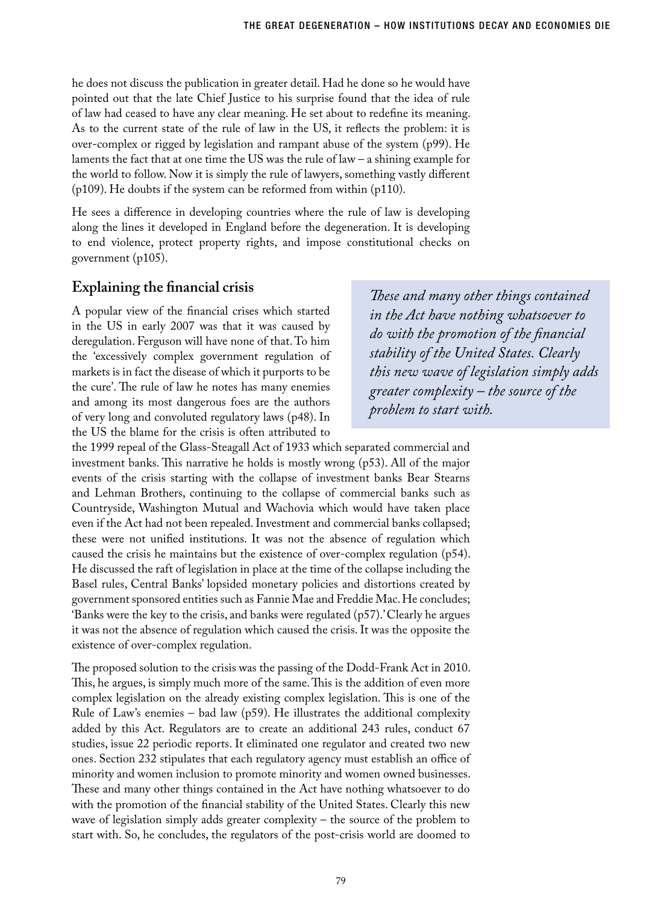he does not discuss the publication in greater detail. Had he done so he would have pointed out that the late Chief Justice to his surprise found that the idea of rule of law had ceased to have any clear meaning. He set about to redefine its meaning. As to the current state of the rule of law in the US, it reflects the problem: it is over-complex or rigged by legislation and rampant abuse of the system (p99). He laments the fact that at one time the US was the rule of law – a shining example for the world to follow. Now it is simply the rule of lawyers, something vastly different (p109). He doubts if the system can be reformed from within (p110).

He sees a difference in developing countries where the rule of law is developing along the lines it developed in England before the degeneration. It is developing to end violence, protect property rights, and impose constitutional checks on government (p105).

## **Explaining the financial crisis**

A popular view of the financial crises which started in the US in early 2007 was that it was caused by deregulation. Ferguson will have none of that. To him the 'excessively complex government regulation of markets is in fact the disease of which it purports to be the cure'. The rule of law he notes has many enemies and among its most dangerous foes are the authors of very long and convoluted regulatory laws (p48). In the US the blame for the crisis is often attributed to

*These and many other things contained in the Act have nothing whatsoever to do with the promotion of the financial stability of the United States. Clearly this new wave of legislation simply adds greater complexity – the source of the problem to start with.* 

the 1999 repeal of the Glass-Steagall Act of 1933 which separated commercial and investment banks. This narrative he holds is mostly wrong (p53). All of the major events of the crisis starting with the collapse of investment banks Bear Stearns and Lehman Brothers, continuing to the collapse of commercial banks such as Countryside, Washington Mutual and Wachovia which would have taken place even if the Act had not been repealed. Investment and commercial banks collapsed; these were not unified institutions. It was not the absence of regulation which caused the crisis he maintains but the existence of over-complex regulation (p54). He discussed the raft of legislation in place at the time of the collapse including the Basel rules, Central Banks' lopsided monetary policies and distortions created by government sponsored entities such as Fannie Mae and Freddie Mac. He concludes; 'Banks were the key to the crisis, and banks were regulated (p57).' Clearly he argues it was not the absence of regulation which caused the crisis. It was the opposite the existence of over-complex regulation.

The proposed solution to the crisis was the passing of the Dodd-Frank Act in 2010. This, he argues, is simply much more of the same. This is the addition of even more complex legislation on the already existing complex legislation. This is one of the Rule of Law's enemies – bad law (p59). He illustrates the additional complexity added by this Act. Regulators are to create an additional 243 rules, conduct 67 studies, issue 22 periodic reports. It eliminated one regulator and created two new ones. Section 232 stipulates that each regulatory agency must establish an office of minority and women inclusion to promote minority and women owned businesses. These and many other things contained in the Act have nothing whatsoever to do with the promotion of the financial stability of the United States. Clearly this new wave of legislation simply adds greater complexity – the source of the problem to start with. So, he concludes, the regulators of the post-crisis world are doomed to